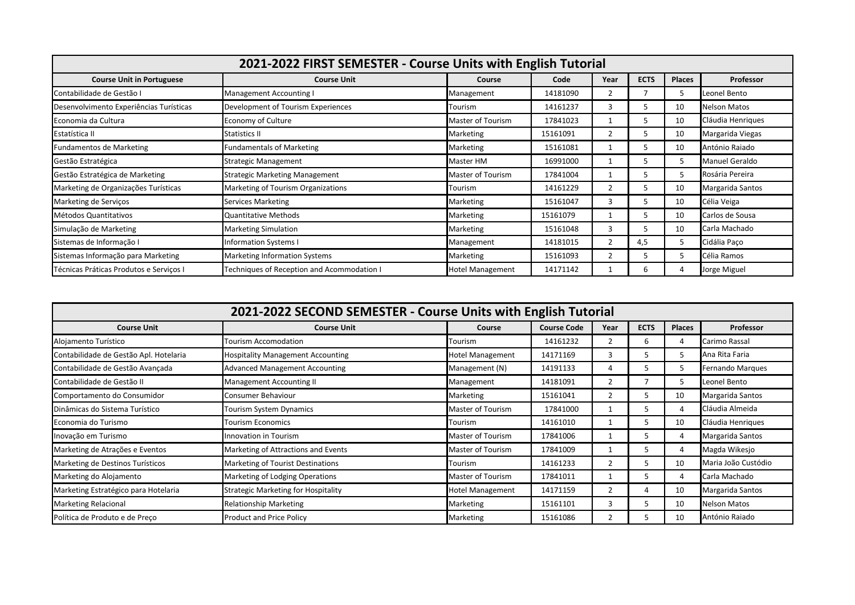| 2021-2022 FIRST SEMESTER - Course Units with English Tutorial |                                            |                         |          |      |             |               |                     |  |  |
|---------------------------------------------------------------|--------------------------------------------|-------------------------|----------|------|-------------|---------------|---------------------|--|--|
| <b>Course Unit in Portuguese</b>                              | <b>Course Unit</b>                         | Course                  | Code     | Year | <b>ECTS</b> | <b>Places</b> | Professor           |  |  |
| Contabilidade de Gestão I                                     | Management Accounting I                    | Management              | 14181090 |      |             | 5             | Leonel Bento        |  |  |
| Desenvolvimento Experiências Turísticas                       | Development of Tourism Experiences         | Tourism                 | 14161237 | 3    | 5.          | 10            | <b>Nelson Matos</b> |  |  |
| Economia da Cultura                                           | Economy of Culture                         | Master of Tourism       | 17841023 |      |             | 10            | Cláudia Henriques   |  |  |
| Estatística II                                                | Statistics II                              | Marketing               | 15161091 | 2    | 5.          | 10            | Margarida Viegas    |  |  |
| <b>Fundamentos de Marketing</b>                               | <b>Fundamentals of Marketing</b>           | Marketing               | 15161081 |      | 5.          | 10            | António Raiado      |  |  |
| Gestão Estratégica                                            | <b>Strategic Management</b>                | Master HM               | 16991000 |      |             | 5             | Manuel Geraldo      |  |  |
| Gestão Estratégica de Marketing                               | <b>Strategic Marketing Management</b>      | Master of Tourism       | 17841004 |      |             | 5             | Rosária Pereira     |  |  |
| Marketing de Organizações Turísticas                          | Marketing of Tourism Organizations         | Tourism                 | 14161229 | 2    |             | 10            | Margarida Santos    |  |  |
| Marketing de Serviços                                         | <b>Services Marketing</b>                  | Marketing               | 15161047 | 3    |             | 10            | Célia Veiga         |  |  |
| Métodos Quantitativos                                         | Quantitative Methods                       | Marketing               | 15161079 |      |             | 10            | Carlos de Sousa     |  |  |
| Simulação de Marketing                                        | <b>Marketing Simulation</b>                | Marketing               | 15161048 | 3    | 5.          | 10            | Carla Machado       |  |  |
| Sistemas de Informação I                                      | nformation Systems I                       | Management              | 14181015 | 2    | 4,5         | 5             | Cidália Paco        |  |  |
| Sistemas Informação para Marketing                            | Marketing Information Systems              | Marketing               | 15161093 | 2    |             | 5             | Célia Ramos         |  |  |
| Técnicas Práticas Produtos e Serviços I                       | Techniques of Reception and Acommodation I | <b>Hotel Management</b> | 14171142 |      |             | 4             | Jorge Miguel        |  |  |

| 2021-2022 SECOND SEMESTER - Course Units with English Tutorial |                                            |                         |                    |                |             |                |                     |  |  |
|----------------------------------------------------------------|--------------------------------------------|-------------------------|--------------------|----------------|-------------|----------------|---------------------|--|--|
| <b>Course Unit</b>                                             | <b>Course Unit</b>                         | Course                  | <b>Course Code</b> | Year           | <b>ECTS</b> | <b>Places</b>  | Professor           |  |  |
| Alojamento Turístico                                           | <b>Tourism Accomodation</b>                | Tourism                 | 14161232           | 2              | 6           | 4              | Carimo Rassal       |  |  |
| Contabilidade de Gestão Apl. Hotelaria                         | <b>Hospitality Management Accounting</b>   | <b>Hotel Management</b> | 14171169           | 3              | ∽           | 5              | Ana Rita Faria      |  |  |
| Contabilidade de Gestão Avançada                               | <b>Advanced Management Accounting</b>      | Management (N)          | 14191133           | 4              |             | 5              | Fernando Marques    |  |  |
| Contabilidade de Gestão II                                     | Management Accounting II                   | Management              | 14181091           | 2              |             | 5              | Leonel Bento        |  |  |
| Comportamento do Consumidor                                    | Consumer Behaviour                         | Marketing               | 15161041           | $\overline{2}$ |             | 10             | Margarida Santos    |  |  |
| Dinâmicas do Sistema Turístico                                 | Tourism System Dynamics                    | Master of Tourism       | 17841000           |                | 5.          | 4              | Cláudia Almeida     |  |  |
| Economia do Turismo                                            | Tourism Economics                          | Tourism                 | 14161010           |                | 5.          | 10             | Cláudia Henriques   |  |  |
| Inovação em Turismo                                            | Innovation in Tourism                      | Master of Tourism       | 17841006           | 1              | 5           | 4              | Margarida Santos    |  |  |
| Marketing de Atrações e Eventos                                | Marketing of Attractions and Events        | Master of Tourism       | 17841009           |                | ,           | $\overline{4}$ | Magda Wikesjo       |  |  |
| Marketing de Destinos Turísticos                               | Marketing of Tourist Destinations          | Tourism                 | 14161233           | 2              |             | 10             | Maria João Custódio |  |  |
| Marketing do Alojamento                                        | Marketing of Lodging Operations            | Master of Tourism       | 17841011           |                | 5.          | 4              | Carla Machado       |  |  |
| Marketing Estratégico para Hotelaria                           | <b>Strategic Marketing for Hospitality</b> | <b>Hotel Management</b> | 14171159           | 2              |             | 10             | Margarida Santos    |  |  |
| <b>Marketing Relacional</b>                                    | <b>Relationship Marketing</b>              | Marketing               | 15161101           | 3              | 5.          | 10             | <b>Nelson Matos</b> |  |  |
| Política de Produto e de Preco                                 | Product and Price Policy                   | Marketing               | 15161086           | 2              |             | 10             | António Raiado      |  |  |